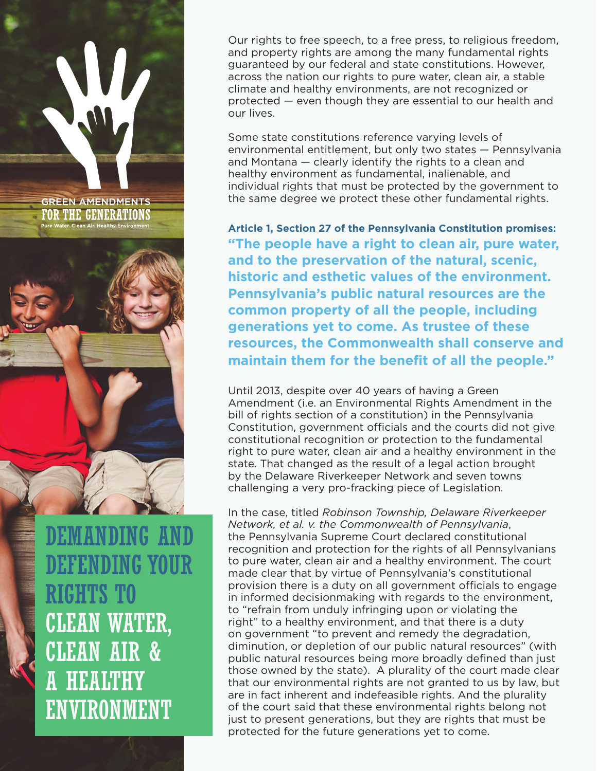Our rights to free speech, to a free press, to religious freedom, and property rights are among the many fundamental rights guaranteed by our federal and state constitutions. However, across the nation our rights to pure water, clean air, a stable climate and healthy environments, are not recognized or protected — even though they are essential to our health and our lives.

Some state constitutions reference varying levels of environmental entitlement, but only two states — Pennsylvania and Montana — clearly identify the rights to a clean and healthy environment as fundamental, inalienable, and individual rights that must be protected by the government to the same degree we protect these other fundamental rights.

**Article 1, Section 27 of the Pennsylvania Constitution promises: "The people have a right to clean air, pure water, and to the preservation of the natural, scenic, historic and esthetic values of the environment. Pennsylvania's public natural resources are the common property of all the people, including generations yet to come. As trustee of these resources, the Commonwealth shall conserve and maintain them for the benefit of all the people."**

Until 2013, despite over 40 years of having a Green Amendment (i.e. an Environmental Rights Amendment in the bill of rights section of a constitution) in the Pennsylvania Constitution, government officials and the courts did not give constitutional recognition or protection to the fundamental right to pure water, clean air and a healthy environment in the state. That changed as the result of a legal action brought by the Delaware Riverkeeper Network and seven towns challenging a very pro-fracking piece of Legislation.

In the case, titled *Robinson Township, Delaware Riverkeeper Network, et al. v. the Commonwealth of Pennsylvania*, the Pennsylvania Supreme Court declared constitutional recognition and protection for the rights of all Pennsylvanians to pure water, clean air and a healthy environment. The court made clear that by virtue of Pennsylvania's constitutional provision there is a duty on all government officials to engage in informed decisionmaking with regards to the environment, to "refrain from unduly infringing upon or violating the right" to a healthy environment, and that there is a duty on government "to prevent and remedy the degradation, diminution, or depletion of our public natural resources" (with public natural resources being more broadly defined than just those owned by the state). A plurality of the court made clear that our environmental rights are not granted to us by law, but are in fact inherent and indefeasible rights. And the plurality of the court said that these environmental rights belong not just to present generations, but they are rights that must be protected for the future generations yet to come.

DEMANDING AND DEFENDING YOUR RIGHTS TO CLEAN WATER, CLEAN AIR & A HEALTHY ENVIRONMENT

**GREEN AMENDMENTS** FOR THE GENERATIONS